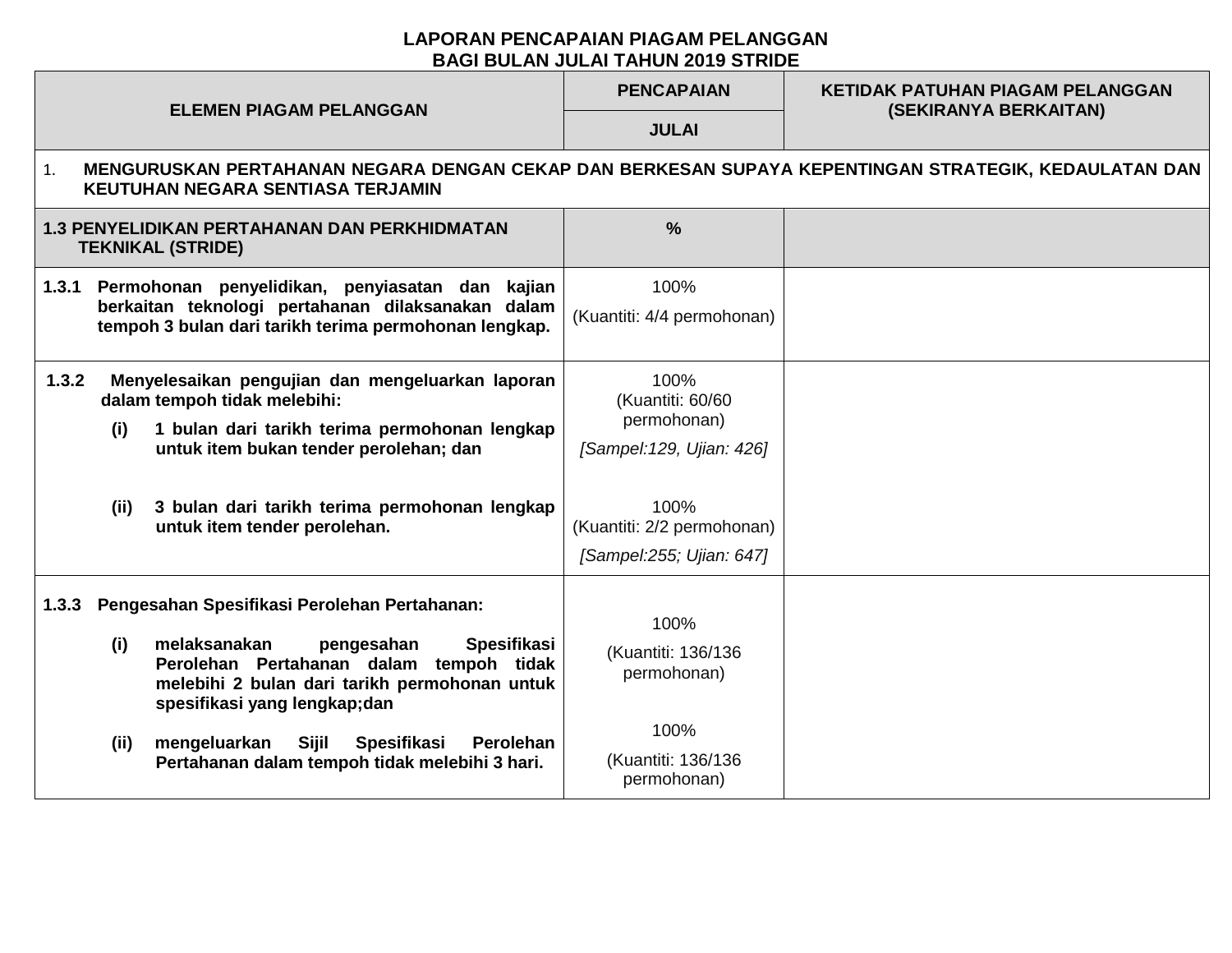## **LAPORAN PENCAPAIAN PIAGAM PELANGGAN BAGI BULAN JULAI TAHUN 2019 STRIDE**

| <b>ELEMEN PIAGAM PELANGGAN</b>                                                                                                                                                                                                                                                                                                                       | <b>PENCAPAIAN</b>                                                                                                  | <b>KETIDAK PATUHAN PIAGAM PELANGGAN</b><br>(SEKIRANYA BERKAITAN) |  |  |  |  |  |
|------------------------------------------------------------------------------------------------------------------------------------------------------------------------------------------------------------------------------------------------------------------------------------------------------------------------------------------------------|--------------------------------------------------------------------------------------------------------------------|------------------------------------------------------------------|--|--|--|--|--|
|                                                                                                                                                                                                                                                                                                                                                      | <b>JULAI</b>                                                                                                       |                                                                  |  |  |  |  |  |
| MENGURUSKAN PERTAHANAN NEGARA DENGAN CEKAP DAN BERKESAN SUPAYA KEPENTINGAN STRATEGIK, KEDAULATAN DAN<br>$\mathbf{1}$ .<br>KEUTUHAN NEGARA SENTIASA TERJAMIN                                                                                                                                                                                          |                                                                                                                    |                                                                  |  |  |  |  |  |
| <b>1.3 PENYELIDIKAN PERTAHANAN DAN PERKHIDMATAN</b><br><b>TEKNIKAL (STRIDE)</b>                                                                                                                                                                                                                                                                      | $\frac{0}{0}$                                                                                                      |                                                                  |  |  |  |  |  |
| Permohonan penyelidikan, penyiasatan dan kajian<br>1.3.1<br>berkaitan teknologi pertahanan dilaksanakan dalam<br>tempoh 3 bulan dari tarikh terima permohonan lengkap.                                                                                                                                                                               | 100%<br>(Kuantiti: 4/4 permohonan)                                                                                 |                                                                  |  |  |  |  |  |
| Menyelesaikan pengujian dan mengeluarkan laporan<br>1.3.2<br>dalam tempoh tidak melebihi:<br>1 bulan dari tarikh terima permohonan lengkap<br>(i)<br>untuk item bukan tender perolehan; dan<br>3 bulan dari tarikh terima permohonan lengkap<br>(ii)<br>untuk item tender perolehan.                                                                 | 100%<br>(Kuantiti: 60/60<br>permohonan)<br>[Sampel: 129, Ujian: 426]<br>100%<br>(Kuantiti: 2/2 permohonan)         |                                                                  |  |  |  |  |  |
| Pengesahan Spesifikasi Perolehan Pertahanan:<br>1.3.3<br>(i)<br>melaksanakan<br>Spesifikasi<br>pengesahan<br>Perolehan Pertahanan dalam tempoh tidak<br>melebihi 2 bulan dari tarikh permohonan untuk<br>spesifikasi yang lengkap;dan<br>mengeluarkan<br>Sijil<br>Spesifikasi<br>(ii)<br>Perolehan<br>Pertahanan dalam tempoh tidak melebihi 3 hari. | [Sampel:255; Ujian: 647]<br>100%<br>(Kuantiti: 136/136<br>permohonan)<br>100%<br>(Kuantiti: 136/136<br>permohonan) |                                                                  |  |  |  |  |  |